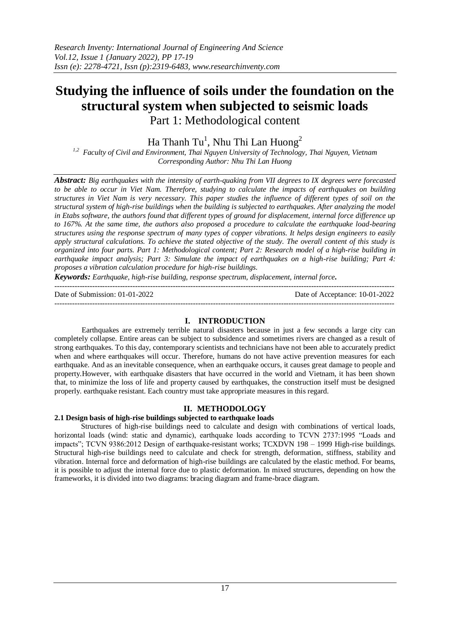# **Studying the influence of soils under the foundation on the structural system when subjected to seismic loads**

Part 1: Methodological content

Ha Thanh Tu<sup>1</sup>, Nhu Thi Lan Huong<sup>2</sup>

*1,2 Faculty of Civil and Environment, Thai Nguyen University of Technology, Thai Nguyen, Vietnam Corresponding Author: Nhu Thi Lan Huong*

*Abstract: Big earthquakes with the intensity of earth-quaking from VII degrees to IX degrees were forecasted to be able to occur in Viet Nam. Therefore, studying to calculate the impacts of earthquakes on building structures in Viet Nam is very necessary. This paper studies the influence of different types of soil on the structural system of high-rise buildings when the building is subjected to earthquakes. After analyzing the model in Etabs software, the authors found that different types of ground for displacement, internal force difference up to 167%. At the same time, the authors also proposed a procedure to calculate the earthquake load-bearing structures using the response spectrum of many types of copper vibrations. It helps design engineers to easily apply structural calculations. To achieve the stated objective of the study. The overall content of this study is organized into four parts. Part 1: Methodological content; Part 2: Research model of a high-rise building in earthquake impact analysis; Part 3: Simulate the impact of earthquakes on a high-rise building; Part 4: proposes a vibration calculation procedure for high-rise buildings.*

*Keywords: Earthquake, high-rise building, response spectrum, displacement, internal force.*

Date of Submission: 01-01-2022 Date of Acceptance: 10-01-2022

# **I. INTRODUCTION**

---------------------------------------------------------------------------------------------------------------------------------------

---------------------------------------------------------------------------------------------------------------------------------------

Earthquakes are extremely terrible natural disasters because in just a few seconds a large city can completely collapse. Entire areas can be subject to subsidence and sometimes rivers are changed as a result of strong earthquakes. To this day, contemporary scientists and technicians have not been able to accurately predict when and where earthquakes will occur. Therefore, humans do not have active prevention measures for each earthquake. And as an inevitable consequence, when an earthquake occurs, it causes great damage to people and property.However, with earthquake disasters that have occurred in the world and Vietnam, it has been shown that, to minimize the loss of life and property caused by earthquakes, the construction itself must be designed properly. earthquake resistant. Each country must take appropriate measures in this regard.

# **II. METHODOLOGY**

## **2.1 Design basis of high-rise buildings subjected to earthquake loads**

Structures of high-rise buildings need to calculate and design with combinations of vertical loads, horizontal loads (wind: static and dynamic), earthquake loads according to TCVN 2737:1995 "Loads and impacts"; TCVN 9386:2012 Design of earthquake-resistant works; TCXDVN 198 – 1999 High-rise buildings. Structural high-rise buildings need to calculate and check for strength, deformation, stiffness, stability and vibration. Internal force and deformation of high-rise buildings are calculated by the elastic method. For beams, it is possible to adjust the internal force due to plastic deformation. In mixed structures, depending on how the frameworks, it is divided into two diagrams: bracing diagram and frame-brace diagram.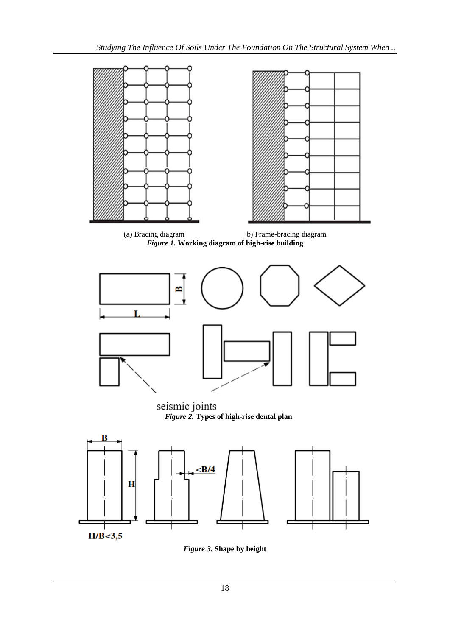

*Figure 3.* **Shape by height**